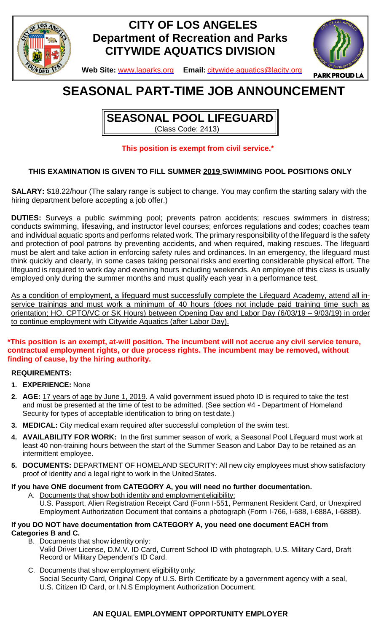

## **CITY OF LOS ANGELES Department of Recreation and Parks CITYWIDE AQUATICS DIVISION**



**Web Site:** [www.laparks.org](http://www.laparks.org/) **Email:** [citywide.aquatics@lacity.org](mailto:citywide.aquatics@lacity.org)

# **SEASONAL PART-TIME JOB ANNOUNCEMENT**

**SEASONAL POOL LIFEGUARD** (Class Code: 2413)

## **This position is exempt from civil service.\***

## **THIS EXAMINATION IS GIVEN TO FILL SUMMER 2019 SWIMMING POOL POSITIONS ONLY**

**SALARY:** \$18.22/hour (The salary range is subject to change. You may confirm the starting salary with the hiring department before accepting a job offer.)

**DUTIES:** Surveys a public swimming pool; prevents patron accidents; rescues swimmers in distress; conducts swimming, lifesaving, and instructor level courses; enforces regulations and codes; coaches team and individual aquatic sports and performs related work. The primary responsibility of the lifeguard is the safety and protection of pool patrons by preventing accidents, and when required, making rescues. The lifeguard must be alert and take action in enforcing safety rules and ordinances. In an emergency, the lifeguard must think quickly and clearly, in some cases taking personal risks and exerting considerable physical effort. The lifeguard is required to work day and evening hours including weekends. An employee of this class is usually employed only during the summer months and must qualify each year in a performance test.

As a condition of employment, a lifeguard must successfully complete the Lifeguard Academy, attend all inservice trainings and must work a minimum of 40 hours (does not include paid training time such as orientation; HO, CPTO/VC or SK Hours) between Opening Day and Labor Day (6/03/19 – 9/03/19) in order to continue employment with Citywide Aquatics (after Labor Day).

## **\*This position is an exempt, at-will position. The incumbent will not accrue any civil service tenure, contractual employment rights, or due process rights. The incumbent may be removed, without finding of cause, by the hiring authority.**

## **REQUIREMENTS:**

- **1. EXPERIENCE:** None
- **2. AGE:** 17 years of age by June 1, 2019. A valid government issued photo ID is required to take the test and must be presented at the time of test to be admitted. (See section #4 - Department of Homeland Security for types of acceptable identification to bring on test date.)
- **3. MEDICAL:** City medical exam required after successful completion of the swim test.
- **4. AVAILABILITY FOR WORK:** In the first summer season of work, a Seasonal Pool Lifeguard must work at least 40 non-training hours between the start of the Summer Season and Labor Day to be retained as an intermittent employee.
- **5. DOCUMENTS:** DEPARTMENT OF HOMELAND SECURITY: All new city employees must show satisfactory proof of identity and a legal right to work in the UnitedStates.

## **If you have ONE document from CATEGORY A, you will need no further documentation.**

A. Documents that show both identity and employment eligibility: U.S. Passport, Alien Registration Receipt Card (Form I-551, Permanent Resident Card, or Unexpired Employment Authorization Document that contains a photograph (Form I-766, I-688, I-688A, I-688B).

#### **If you DO NOT have documentation from CATEGORY A, you need one document EACH from Categories B and C.**

- B. Documents that show identity only: Valid Driver License, D.M.V. ID Card, Current School ID with photograph, U.S. Military Card, Draft Record or Military Dependent's ID Card.
- C. Documents that show employment eligibility only: Social Security Card, Original Copy of U.S. Birth Certificate by a government agency with a seal, U.S. Citizen ID Card, or I.N.S Employment Authorization Document.

## **AN EQUAL EMPLOYMENT OPPORTUNITY EMPLOYER**